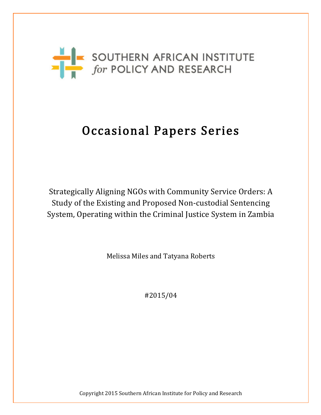

# Occasional Papers Series

Strategically Aligning NGOs with Community Service Orders: A Study of the Existing and Proposed Non-custodial Sentencing System, Operating within the Criminal Justice System in Zambia

Melissa Miles and Tatyana Roberts

#2015/04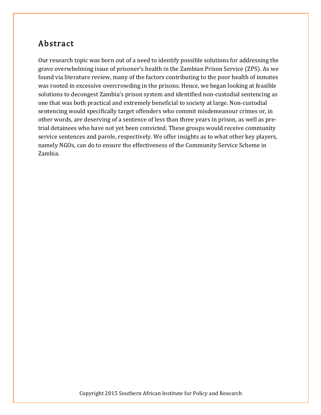### Abstract

Our research topic was born out of a need to identify possible solutions for addressing the grave overwhelming issue of prisoner's health in the Zambian Prison Service (ZPS). As we found via literature review, many of the factors contributing to the poor health of inmates was rooted in excessive overcrowding in the prisons. Hence, we began looking at feasible solutions to decongest Zambia's prison system and identified non-custodial sentencing as one that was both practical and extremely beneficial to society at large. Non-custodial sentencing would specifically target offenders who commit misdemeanour crimes or, in other words, are deserving of a sentence of less than three years in prison, as well as pretrial detainees who have not yet been convicted. These groups would receive community service sentences and parole, respectively. We offer insights as to what other key players, namely NGOs, can do to ensure the effectiveness of the Community Service Scheme in Zambia.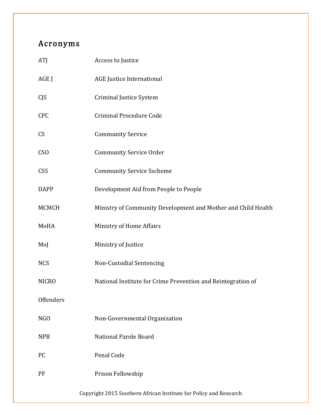# Acronyms

| ATJ              | Access to Justice                                                 |
|------------------|-------------------------------------------------------------------|
| AGE J            | <b>AGE</b> Justice International                                  |
| <b>CJS</b>       | Criminal Justice System                                           |
| <b>CPC</b>       | <b>Criminal Procedure Code</b>                                    |
| <b>CS</b>        | <b>Community Service</b>                                          |
| C <sub>SO</sub>  | <b>Community Service Order</b>                                    |
| CSS              | <b>Community Service Sscheme</b>                                  |
| <b>DAPP</b>      | Development Aid from People to People                             |
| <b>MCMCH</b>     | Ministry of Community Development and Mother and Child Health     |
| MoHA             | Ministry of Home Affairs                                          |
| MoJ              | Ministry of Justice                                               |
| <b>NCS</b>       | Non-Custodial Sentencing                                          |
| <b>NICRO</b>     | National Institute for Crime Prevention and Reintegration of      |
| Offenders        |                                                                   |
| N <sub>G</sub> O | Non-Governmental Organization                                     |
| <b>NPB</b>       | National Parole Board                                             |
| <b>PC</b>        | Penal Code                                                        |
| PF               | Prison Fellowship                                                 |
|                  | Copyright 2015 Southern African Institute for Policy and Research |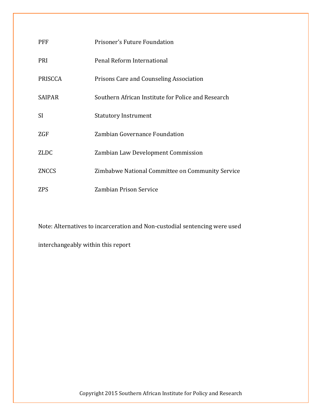| <b>PFF</b>     | Prisoner's Future Foundation                       |
|----------------|----------------------------------------------------|
| <b>PRI</b>     | Penal Reform International                         |
| <b>PRISCCA</b> | Prisons Care and Counseling Association            |
| <b>SAIPAR</b>  | Southern African Institute for Police and Research |
| <sup>SI</sup>  | <b>Statutory Instrument</b>                        |
| ZGF            | Zambian Governance Foundation                      |
| <b>ZLDC</b>    | Zambian Law Development Commission                 |
| <b>ZNCCS</b>   | Zimbabwe National Committee on Community Service   |
| ZPS            | Zambian Prison Service                             |

Note: Alternatives to incarceration and Non-custodial sentencing were used

interchangeably within this report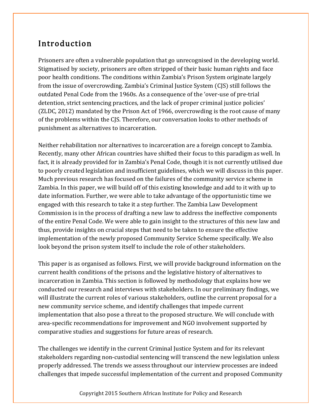# Introduction

Prisoners are often a vulnerable population that go unrecognised in the developing world. Stigmatised by society, prisoners are often stripped of their basic human rights and face poor health conditions. The conditions within Zambia's Prison System originate largely from the issue of overcrowding. Zambia's Criminal Justice System (CJS) still follows the outdated Penal Code from the 1960s. As a consequence of the 'over-use of pre-trial detention, strict sentencing practices, and the lack of proper criminal justice policies' (ZLDC, 2012) mandated by the Prison Act of 1966, overcrowding is the root cause of many of the problems within the CJS. Therefore, our conversation looks to other methods of punishment as alternatives to incarceration.

Neither rehabilitation nor alternatives to incarceration are a foreign concept to Zambia. Recently, many other African countries have shifted their focus to this paradigm as well. In fact, it is already provided for in Zambia's Penal Code, though it is not currently utilised due to poorly created legislation and insufficient guidelines, which we will discuss in this paper. Much previous research has focused on the failures of the community service scheme in Zambia. In this paper, we will build off of this existing knowledge and add to it with up to date information. Further, we were able to take advantage of the opportunistic time we engaged with this research to take it a step further. The Zambia Law Development Commission is in the process of drafting a new law to address the ineffective components of the entire Penal Code. We were able to gain insight to the structures of this new law and thus, provide insights on crucial steps that need to be taken to ensure the effective implementation of the newly proposed Community Service Scheme specifically. We also look beyond the prison system itself to include the role of other stakeholders.

This paper is as organised as follows. First, we will provide background information on the current health conditions of the prisons and the legislative history of alternatives to incarceration in Zambia. This section is followed by methodology that explains how we conducted our research and interviews with stakeholders. In our preliminary findings, we will illustrate the current roles of various stakeholders, outline the current proposal for a new community service scheme, and identify challenges that impede current implementation that also pose a threat to the proposed structure. We will conclude with area-specific recommendations for improvement and NGO involvement supported by comparative studies and suggestions for future areas of research.

The challenges we identify in the current Criminal Justice System and for its relevant stakeholders regarding non-custodial sentencing will transcend the new legislation unless properly addressed. The trends we assess throughout our interview processes are indeed challenges that impede successful implementation of the current and proposed Community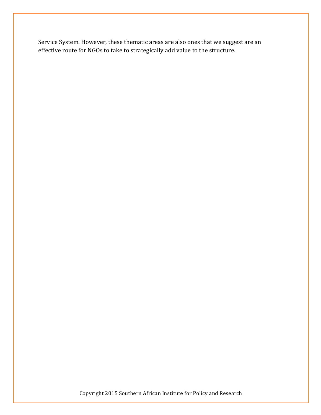Service System. However, these thematic areas are also ones that we suggest are an effective route for NGOs to take to strategically add value to the structure.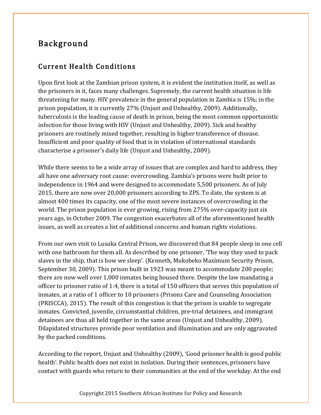# Background

#### Current Health Conditions

Upon first look at the Zambian prison system, it is evident the institution itself, as well as the prisoners in it, faces many challenges. Supremely, the current health situation is life threatening for many. HIV prevalence in the general population in Zambia is 15%; in the prison population, it is currently 27% (Unjust and Unhealthy, 2009). Additionally, tuberculosis is the leading cause of death in prison, being the most common opportunistic infection for those living with HIV (Unjust and Unhealthy, 2009). Sick and healthy prisoners are routinely mixed together, resulting in higher transference of disease. Insufficient and poor quality of food that is in violation of international standards characterise a prisoner's daily life (Unjust and Unhealthy, 2009).

While there seems to be a wide array of issues that are complex and hard to address, they all have one adversary root cause: overcrowding. Zambia's prisons were built prior to independence in 1964 and were designed to accommodate 5,500 prisoners. As of July 2015, there are now over 20,000 prisoners according to ZPS. To date, the system is at almost 400 times its capacity, one of the most severe instances of overcrowding in the world. The prison population is ever growing, rising from 275% over-capacity just six years ago, in October 2009. The congestion exacerbates all of the aforementioned health issues, as well as creates a list of additional concerns and human rights violations.

From our own visit to Lusaka Central Prison, we discovered that 84 people sleep in one cell with one bathroom for them all. As described by one prisoner, 'The way they used to pack slaves in the ship, that is how we sleep'. (Kenneth, Mukobeko Maximum Security Prison, September 30, 2009). This prison built in 1923 was meant to accommodate 200 people; there are now well over 1,000 inmates being housed there. Despite the law mandating a officer to prisoner ratio of 1:4, there is a total of 150 officers that serves this population of inmates, at a ratio of 1 officer to 10 prisoners (Prisons Care and Counseling Association (PRISCCA), 2015). The result of this congestion is that the prison is unable to segregate inmates. Convicted, juvenile, circumstantial children, pre-trial detainees, and immigrant detainees are thus all held together in the same areas (Unjust and Unhealthy, 2009). Dilapidated structures provide poor ventilation and illumination and are only aggravated by the packed conditions.

According to the report, Unjust and Unhealthy (2009), 'Good prisoner health is good public health'. Public health does not exist in isolation. During their sentences, prisoners have contact with guards who return to their communities at the end of the workday. At the end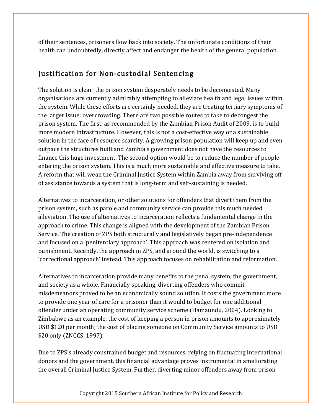of their sentences, prisoners flow back into society. The unfortunate conditions of their health can undoubtedly, directly affect and endanger the health of the general population.

#### Justification for Non-custodial Sentencing

The solution is clear: the prison system desperately needs to be decongested. Many organisations are currently admirably attempting to alleviate health and legal issues within the system. While these efforts are certainly needed, they are treating tertiary symptoms of the larger issue: overcrowding. There are two possible routes to take to decongest the prison system. The first, as recommended by the Zambian Prison Audit of 2009, is to build more modern infrastructure. However, this is not a cost-effective way or a sustainable solution in the face of resource scarcity. A growing prison population will keep up and even outpace the structures built and Zambia's government does not have the resources to finance this huge investment. The second option would be to reduce the number of people entering the prison system. This is a much more sustainable and effective measure to take. A reform that will wean the Criminal Justice System within Zambia away from surviving off of assistance towards a system that is long-term and self-sustaining is needed.

Alternatives to incarceration, or other solutions for offenders that divert them from the prison system, such as parole and community service can provide this much needed alleviation. The use of alternatives to incarceration reflects a fundamental change in the approach to crime. This change is aligned with the development of the Zambian Prison Service. The creation of ZPS both structurally and legislatively began pre-independence and focused on a 'penitentiary approach'. This approach was centered on isolation and punishment. Recently, the approach in ZPS, and around the world, is switching to a 'correctional approach' instead. This approach focuses on rehabilitation and reformation.

Alternatives to incarceration provide many benefits to the penal system, the government, and society as a whole. Financially speaking, diverting offenders who commit misdemeanors proved to be an economically sound solution. It costs the government more to provide one year of care for a prisoner than it would to budget for one additional offender under an operating community service scheme (Hamaundu, 2004). Looking to Zimbabwe as an example, the cost of keeping a person in prison amounts to approximately USD \$120 per month; the cost of placing someone on Community Service amounts to USD \$20 only (ZNCCS, 1997).

Due to ZPS's already constrained budget and resources, relying on fluctuating international donors and the government, this financial advantage proves instrumental in ameliorating the overall Criminal Justice System. Further, diverting minor offenders away from prison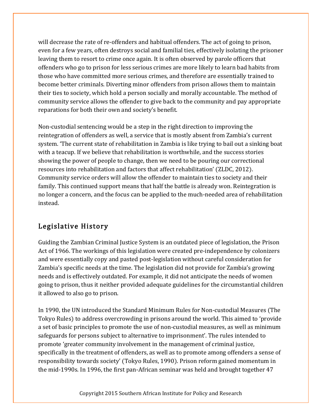will decrease the rate of re-offenders and habitual offenders. The act of going to prison, even for a few years, often destroys social and familial ties, effectively isolating the prisoner leaving them to resort to crime once again. It is often observed by parole officers that offenders who go to prison for less serious crimes are more likely to learn bad habits from those who have committed more serious crimes, and therefore are essentially trained to become better criminals. Diverting minor offenders from prison allows them to maintain their ties to society, which hold a person socially and morally accountable. The method of community service allows the offender to give back to the community and pay appropriate reparations for both their own and society's benefit.

Non-custodial sentencing would be a step in the right direction to improving the reintegration of offenders as well, a service that is mostly absent from Zambia's current system. 'The current state of rehabilitation in Zambia is like trying to bail out a sinking boat with a teacup. If we believe that rehabilitation is worthwhile, and the success stories showing the power of people to change, then we need to be pouring our correctional resources into rehabilitation and factors that affect rehabilitation' (ZLDC, 2012). Community service orders will allow the offender to maintain ties to society and their family. This continued support means that half the battle is already won. Reintegration is no longer a concern, and the focus can be applied to the much-needed area of rehabilitation instead.

#### Legislative History

Guiding the Zambian Criminal Justice System is an outdated piece of legislation, the Prison Act of 1966. The workings of this legislation were created pre-independence by colonizers and were essentially copy and pasted post-legislation without careful consideration for Zambia's specific needs at the time. The legislation did not provide for Zambia's growing needs and is effectively outdated. For example, it did not anticipate the needs of women going to prison, thus it neither provided adequate guidelines for the circumstantial children it allowed to also go to prison.

In 1990, the UN introduced the Standard Minimum Rules for Non-custodial Measures (The Tokyo Rules) to address overcrowding in prisons around the world. This aimed to 'provide a set of basic principles to promote the use of non-custodial measures, as well as minimum safeguards for persons subject to alternative to imprisonment'. The rules intended to promote 'greater community involvement in the management of criminal justice, specifically in the treatment of offenders, as well as to promote among offenders a sense of responsibility towards society' (Tokyo Rules, 1990). Prison reform gained momentum in the mid-1990s. In 1996, the first pan-African seminar was held and brought together 47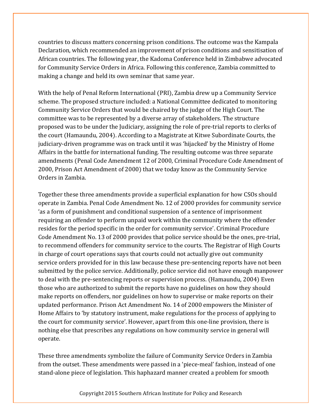countries to discuss matters concerning prison conditions. The outcome was the Kampala Declaration, which recommended an improvement of prison conditions and sensitisation of African countries. The following year, the Kadoma Conference held in Zimbabwe advocated for Community Service Orders in Africa. Following this conference, Zambia committed to making a change and held its own seminar that same year.

With the help of Penal Reform International (PRI), Zambia drew up a Community Service scheme. The proposed structure included: a National Committee dedicated to monitoring Community Service Orders that would be chaired by the judge of the High Court. The committee was to be represented by a diverse array of stakeholders. The structure proposed was to be under the Judiciary, assigning the role of pre-trial reports to clerks of the court (Hamaundu, 2004). According to a Magistrate at Kitwe Subordinate Courts, the judiciary-driven programme was on track until it was 'hijacked' by the Ministry of Home Affairs in the battle for international funding. The resulting outcome was three separate amendments (Penal Code Amendment 12 of 2000, Criminal Procedure Code Amendment of 2000, Prison Act Amendment of 2000) that we today know as the Community Service Orders in Zambia.

Together these three amendments provide a superficial explanation for how CSOs should operate in Zambia. Penal Code Amendment No. 12 of 2000 provides for community service 'as a form of punishment and conditional suspension of a sentence of imprisonment requiring an offender to perform unpaid work within the community where the offender resides for the period specific in the order for community service'. Criminal Procedure Code Amendment No. 13 of 2000 provides that police service should be the ones, pre-trial, to recommend offenders for community service to the courts. The Registrar of High Courts in charge of court operations says that courts could not actually give out community service orders provided for in this law because these pre-sentencing reports have not been submitted by the police service. Additionally, police service did not have enough manpower to deal with the pre-sentencing reports or supervision process. (Hamaundu, 2004) Even those who are authorized to submit the reports have no guidelines on how they should make reports on offenders, nor guidelines on how to supervise or make reports on their updated performance. Prison Act Amendment No. 14 of 2000 empowers the Minister of Home Affairs to 'by statutory instrument, make regulations for the process of applying to the court for community service'. However, apart from this one-line provision, there is nothing else that prescribes any regulations on how community service in general will operate.

These three amendments symbolize the failure of Community Service Orders in Zambia from the outset. These amendments were passed in a 'piece-meal' fashion, instead of one stand-alone piece of legislation. This haphazard manner created a problem for smooth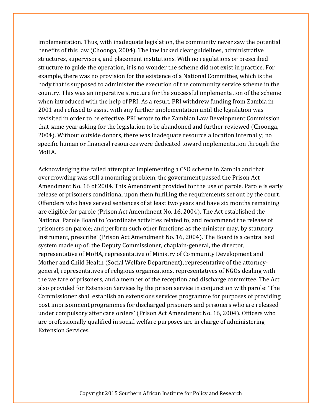implementation. Thus, with inadequate legislation, the community never saw the potential benefits of this law (Choonga, 2004). The law lacked clear guidelines, administrative structures, supervisors, and placement institutions. With no regulations or prescribed structure to guide the operation, it is no wonder the scheme did not exist in practice. For example, there was no provision for the existence of a National Committee, which is the body that is supposed to administer the execution of the community service scheme in the country. This was an imperative structure for the successful implementation of the scheme when introduced with the help of PRI. As a result, PRI withdrew funding from Zambia in 2001 and refused to assist with any further implementation until the legislation was revisited in order to be effective. PRI wrote to the Zambian Law Development Commission that same year asking for the legislation to be abandoned and further reviewed (Choonga, 2004). Without outside donors, there was inadequate resource allocation internally; no specific human or financial resources were dedicated toward implementation through the MoHA.

Acknowledging the failed attempt at implementing a CSO scheme in Zambia and that overcrowding was still a mounting problem, the government passed the Prison Act Amendment No. 16 of 2004. This Amendment provided for the use of parole. Parole is early release of prisoners conditional upon them fulfilling the requirements set out by the court. Offenders who have served sentences of at least two years and have six months remaining are eligible for parole (Prison Act Amendment No. 16, 2004). The Act established the National Parole Board to 'coordinate activities related to, and recommend the release of prisoners on parole; and perform such other functions as the minister may, by statutory instrument, prescribe' (Prison Act Amendment No. 16, 2004). The Board is a centralised system made up of: the Deputy Commissioner, chaplain-general, the director, representative of MoHA, representative of Ministry of Community Development and Mother and Child Health (Social Welfare Department), representative of the attorneygeneral, representatives of religious organizations, representatives of NGOs dealing with the welfare of prisoners, and a member of the reception and discharge committee. The Act also provided for Extension Services by the prison service in conjunction with parole: 'The Commissioner shall establish an extensions services programme for purposes of providing post imprisonment programmes for discharged prisoners and prisoners who are released under compulsory after care orders' (Prison Act Amendment No. 16, 2004). Officers who are professionally qualified in social welfare purposes are in charge of administering Extension Services.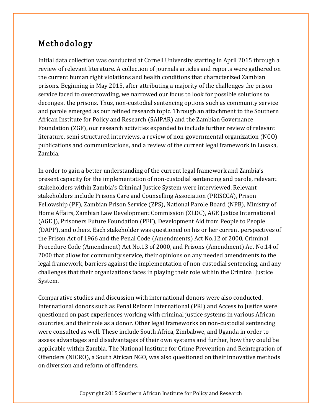# Methodology

Initial data collection was conducted at Cornell University starting in April 2015 through a review of relevant literature. A collection of journals articles and reports were gathered on the current human right violations and health conditions that characterized Zambian prisons. Beginning in May 2015, after attributing a majority of the challenges the prison service faced to overcrowding, we narrowed our focus to look for possible solutions to decongest the prisons. Thus, non-custodial sentencing options such as community service and parole emerged as our refined research topic. Through an attachment to the Southern African Institute for Policy and Research (SAIPAR) and the Zambian Governance Foundation (ZGF), our research activities expanded to include further review of relevant literature, semi-structured interviews, a review of non-governmental organization (NGO) publications and communications, and a review of the current legal framework in Lusaka, Zambia.

In order to gain a better understanding of the current legal framework and Zambia's present capacity for the implementation of non-custodial sentencing and parole, relevant stakeholders within Zambia's Criminal Justice System were interviewed. Relevant stakeholders include Prisons Care and Counselling Association (PRISCCA), Prison Fellowship (PF), Zambian Prison Service (ZPS), National Parole Board (NPB), Ministry of Home Affairs, Zambian Law Development Commission (ZLDC), AGE Justice International (AGE J), Prisoners Future Foundation (PFF), Development Aid from People to People (DAPP), and others. Each stakeholder was questioned on his or her current perspectives of the Prison Act of 1966 and the Penal Code (Amendments) Act No.12 of 2000, Criminal Procedure Code (Amendment) Act No.13 of 2000, and Prisons (Amendment) Act No.14 of 2000 that allow for community service, their opinions on any needed amendments to the legal framework, barriers against the implementation of non-custodial sentencing, and any challenges that their organizations faces in playing their role within the Criminal Justice System.

Comparative studies and discussion with international donors were also conducted. International donors such as Penal Reform International (PRI) and Access to Justice were questioned on past experiences working with criminal justice systems in various African countries, and their role as a donor. Other legal frameworks on non-custodial sentencing were consulted as well. These include South Africa, Zimbabwe, and Uganda in order to assess advantages and disadvantages of their own systems and further, how they could be applicable within Zambia. The National Institute for Crime Prevention and Reintegration of Offenders (NICRO), a South African NGO, was also questioned on their innovative methods on diversion and reform of offenders.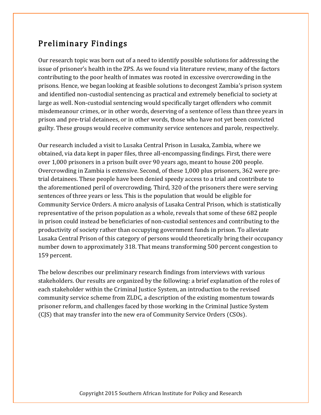## Preliminary Findings

Our research topic was born out of a need to identify possible solutions for addressing the issue of prisoner's health in the ZPS. As we found via literature review, many of the factors contributing to the poor health of inmates was rooted in excessive overcrowding in the prisons. Hence, we began looking at feasible solutions to decongest Zambia's prison system and identified non-custodial sentencing as practical and extremely beneficial to society at large as well. Non-custodial sentencing would specifically target offenders who commit misdemeanour crimes, or in other words, deserving of a sentence of less than three years in prison and pre-trial detainees, or in other words, those who have not yet been convicted guilty. These groups would receive community service sentences and parole, respectively.

Our research included a visit to Lusaka Central Prison in Lusaka, Zambia, where we obtained, via data kept in paper files, three all-encompassing findings. First, there were over 1,000 prisoners in a prison built over 90 years ago, meant to house 200 people. Overcrowding in Zambia is extensive. Second, of these 1,000 plus prisoners, 362 were pretrial detainees. These people have been denied speedy access to a trial and contribute to the aforementioned peril of overcrowding. Third, 320 of the prisoners there were serving sentences of three years or less. This is the population that would be eligible for Community Service Orders. A micro analysis of Lusaka Central Prison, which is statistically representative of the prison population as a whole, reveals that some of these 682 people in prison could instead be beneficiaries of non-custodial sentences and contributing to the productivity of society rather than occupying government funds in prison. To alleviate Lusaka Central Prison of this category of persons would theoretically bring their occupancy number down to approximately 318. That means transforming 500 percent congestion to 159 percent.

The below describes our preliminary research findings from interviews with various stakeholders. Our results are organized by the following: a brief explanation of the roles of each stakeholder within the Criminal Justice System, an introduction to the revised community service scheme from ZLDC, a description of the existing momentum towards prisoner reform, and challenges faced by those working in the Criminal Justice System (CJS) that may transfer into the new era of Community Service Orders (CSOs).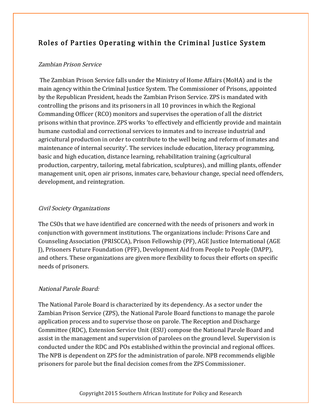### Roles of Parties Operating within the Criminal Justice System

#### Zambian Prison Service

The Zambian Prison Service falls under the Ministry of Home Affairs (MoHA) and is the main agency within the Criminal Justice System. The Commissioner of Prisons, appointed by the Republican President, heads the Zambian Prison Service. ZPS is mandated with controlling the prisons and its prisoners in all 10 provinces in which the Regional Commanding Officer (RCO) monitors and supervises the operation of all the district prisons within that province. ZPS works 'to effectively and efficiently provide and maintain humane custodial and correctional services to inmates and to increase industrial and agricultural production in order to contribute to the well being and reform of inmates and maintenance of internal security'. The services include education, literacy programming, basic and high education, distance learning, rehabilitation training (agricultural production, carpentry, tailoring, metal fabrication, sculptures), and milling plants, offender management unit, open air prisons, inmates care, behaviour change, special need offenders, development, and reintegration.

#### Civil Society Organizations

The CSOs that we have identified are concerned with the needs of prisoners and work in conjunction with government institutions. The organizations include: Prisons Care and Counseling Association (PRISCCA), Prison Fellowship (PF), AGE Justice International (AGE J), Prisoners Future Foundation (PFF), Development Aid from People to People (DAPP), and others. These organizations are given more flexibility to focus their efforts on specific needs of prisoners.

#### National Parole Board:

The National Parole Board is characterized by its dependency. As a sector under the Zambian Prison Service (ZPS), the National Parole Board functions to manage the parole application process and to supervise those on parole. The Reception and Discharge Committee (RDC), Extension Service Unit (ESU) compose the National Parole Board and assist in the management and supervision of parolees on the ground level. Supervision is conducted under the RDC and POs established within the provincial and regional offices. The NPB is dependent on ZPS for the administration of parole. NPB recommends eligible prisoners for parole but the final decision comes from the ZPS Commissioner.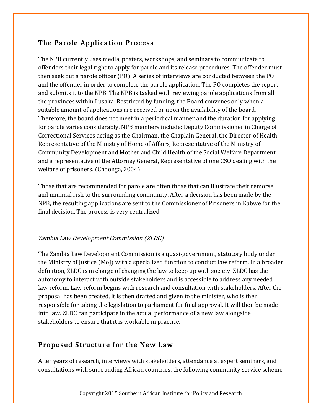### The Parole Application Process

The NPB currently uses media, posters, workshops, and seminars to communicate to offenders their legal right to apply for parole and its release procedures. The offender must then seek out a parole officer (PO). A series of interviews are conducted between the PO and the offender in order to complete the parole application. The PO completes the report and submits it to the NPB. The NPB is tasked with reviewing parole applications from all the provinces within Lusaka. Restricted by funding, the Board convenes only when a suitable amount of applications are received or upon the availability of the board. Therefore, the board does not meet in a periodical manner and the duration for applying for parole varies considerably. NPB members include: Deputy Commissioner in Charge of Correctional Services acting as the Chairman, the Chaplain General, the Director of Health, Representative of the Ministry of Home of Affairs, Representative of the Ministry of Community Development and Mother and Child Health of the Social Welfare Department and a representative of the Attorney General, Representative of one CSO dealing with the welfare of prisoners. (Choonga, 2004)

Those that are recommended for parole are often those that can illustrate their remorse and minimal risk to the surrounding community. After a decision has been made by the NPB, the resulting applications are sent to the Commissioner of Prisoners in Kabwe for the final decision. The process is very centralized.

#### Zambia Law Development Commission (ZLDC)

The Zambia Law Development Commission is a quasi-government, statutory body under the Ministry of Justice (MoJ) with a specialized function to conduct law reform. In a broader definition, ZLDC is in charge of changing the law to keep up with society. ZLDC has the autonomy to interact with outside stakeholders and is accessible to address any needed law reform. Law reform begins with research and consultation with stakeholders. After the proposal has been created, it is then drafted and given to the minister, who is then responsible for taking the legislation to parliament for final approval. It will then be made into law. ZLDC can participate in the actual performance of a new law alongside stakeholders to ensure that it is workable in practice.

#### Proposed Structure for the New Law

After years of research, interviews with stakeholders, attendance at expert seminars, and consultations with surrounding African countries, the following community service scheme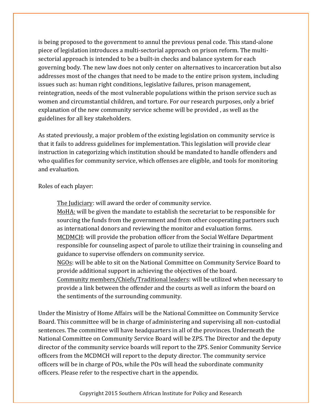is being proposed to the government to annul the previous penal code. This stand-alone piece of legislation introduces a multi-sectorial approach on prison reform. The multisectorial approach is intended to be a built-in checks and balance system for each governing body. The new law does not only center on alternatives to incarceration but also addresses most of the changes that need to be made to the entire prison system, including issues such as: human right conditions, legislative failures, prison management, reintegration, needs of the most vulnerable populations within the prison service such as women and circumstantial children, and torture. For our research purposes, only a brief explanation of the new community service scheme will be provided , as well as the guidelines for all key stakeholders.

As stated previously, a major problem of the existing legislation on community service is that it fails to address guidelines for implementation. This legislation will provide clear instruction in categorizing which institution should be mandated to handle offenders and who qualifies for community service, which offenses are eligible, and tools for monitoring and evaluation.

Roles of each player:

The Judiciary: will award the order of community service. MoHA: will be given the mandate to establish the secretariat to be responsible for sourcing the funds from the government and from other cooperating partners such as international donors and reviewing the monitor and evaluation forms. MCDMCH: will provide the probation officer from the Social Welfare Department responsible for counseling aspect of parole to utilize their training in counseling and guidance to supervise offenders on community service. NGOs: will be able to sit on the National Committee on Community Service Board to provide additional support in achieving the objectives of the board. Community members/Chiefs/Traditional leaders: will be utilized when necessary to provide a link between the offender and the courts as well as inform the board on the sentiments of the surrounding community.

Under the Ministry of Home Affairs will be the National Committee on Community Service Board. This committee will be in charge of administering and supervising all non-custodial sentences. The committee will have headquarters in all of the provinces. Underneath the National Committee on Community Service Board will be ZPS. The Director and the deputy director of the community service boards will report to the ZPS. Senior Community Service officers from the MCDMCH will report to the deputy director. The community service officers will be in charge of POs, while the POs will head the subordinate community officers. Please refer to the respective chart in the appendix.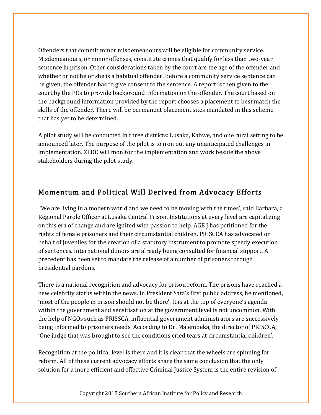Offenders that commit minor misdemeanours will be eligible for community service. Misdemeanours, or minor offenses, constitute crimes that qualify for less than two-year sentence in prison. Other considerations taken by the court are the age of the offender and whether or not he or she is a habitual offender. Before a community service sentence can be given, the offender has to give consent to the sentence. A report is then given to the court by the POs to provide background information on the offender. The court based on the background information provided by the report chooses a placement to best match the skills of the offender. There will be permanent placement sites mandated in this scheme that has yet to be determined.

A pilot study will be conducted in three districts: Lusaka, Kabwe, and one rural setting to be announced later. The purpose of the pilot is to iron out any unanticipated challenges in implementation. ZLDC will monitor the implementation and work beside the above stakeholders during the pilot study.

#### Momentum and Political Will Derived from Advocacy Efforts

'We are living in a modern world and we need to be moving with the times', said Barbara, a Regional Parole Officer at Lusaka Central Prison. Institutions at every level are capitalizing on this era of change and are ignited with passion to help. AGE J has petitioned for the rights of female prisoners and their circumstantial children. PRISCCA has advocated on behalf of juveniles for the creation of a statutory instrument to promote speedy execution of sentences. International donors are already being consulted for financial support. A precedent has been set to mandate the release of a number of prisoners through presidential pardons.

There is a national recognition and advocacy for prison reform. The prisons have reached a new celebrity status within the news. In President Sata's first public address, he mentioned, 'most of the people in prison should not be there'. It is at the top of everyone's agenda within the government and sensitisation at the government level is not uncommon. With the help of NGOs such as PRISSCA, influential government administrators are successively being informed to prisoners needs. According to Dr. Malembeka, the director of PRISCCA, 'One judge that was brought to see the conditions cried tears at circumstantial children'.

Recognition at the political level is there and it is clear that the wheels are spinning for reform. All of these current advocacy efforts share the same conclusion that the only solution for a more efficient and effective Criminal Justice System is the entire revision of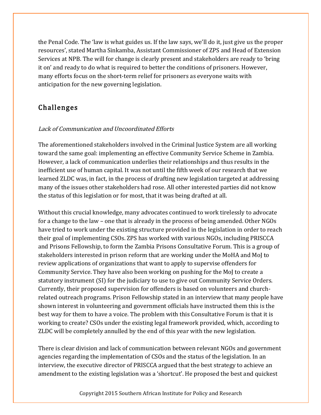the Penal Code. The 'law is what guides us. If the law says, we'll do it, just give us the proper resources', stated Martha Sinkamba, Assistant Commissioner of ZPS and Head of Extension Services at NPB. The will for change is clearly present and stakeholders are ready to 'bring it on' and ready to do what is required to better the conditions of prisoners. However, many efforts focus on the short-term relief for prisoners as everyone waits with anticipation for the new governing legislation.

### Challenges

#### Lack of Communication and Uncoordinated Efforts

The aforementioned stakeholders involved in the Criminal Justice System are all working toward the same goal: implementing an effective Community Service Scheme in Zambia. However, a lack of communication underlies their relationships and thus results in the inefficient use of human capital. It was not until the fifth week of our research that we learned ZLDC was, in fact, in the process of drafting new legislation targeted at addressing many of the issues other stakeholders had rose. All other interested parties did not know the status of this legislation or for most, that it was being drafted at all.

Without this crucial knowledge, many advocates continued to work tirelessly to advocate for a change to the law – one that is already in the process of being amended. Other NGOs have tried to work under the existing structure provided in the legislation in order to reach their goal of implementing CSOs. ZPS has worked with various NGOs, including PRISCCA and Prisons Fellowship, to form the Zambia Prisons Consultative Forum. This is a group of stakeholders interested in prison reform that are working under the MoHA and MoJ to review applications of organizations that want to apply to supervise offenders for Community Service. They have also been working on pushing for the MoJ to create a statutory instrument (SI) for the judiciary to use to give out Community Service Orders. Currently, their proposed supervision for offenders is based on volunteers and churchrelated outreach programs. Prison Fellowship stated in an interview that many people have shown interest in volunteering and government officials have instructed them this is the best way for them to have a voice. The problem with this Consultative Forum is that it is working to create? CSOs under the existing legal framework provided, which, according to ZLDC will be completely annulled by the end of this year with the new legislation.

There is clear division and lack of communication between relevant NGOs and government agencies regarding the implementation of CSOs and the status of the legislation. In an interview, the executive director of PRISCCA argued that the best strategy to achieve an amendment to the existing legislation was a 'shortcut'. He proposed the best and quickest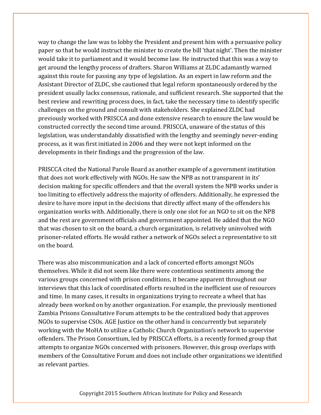way to change the law was to lobby the President and present him with a persuasive policy paper so that he would instruct the minister to create the bill 'that night'. Then the minister would take it to parliament and it would become law. He instructed that this was a way to get around the lengthy process of drafters. Sharon Williams at ZLDC adamantly warned against this route for passing any type of legislation. As an expert in law reform and the Assistant Director of ZLDC, she cautioned that legal reform spontaneously ordered by the president usually lacks consensus, rationale, and sufficient research. She supported that the best review and rewriting process does, in fact, take the necessary time to identify specific challenges on the ground and consult with stakeholders. She explained ZLDC had previously worked with PRISCCA and done extensive research to ensure the law would be constructed correctly the second time around. PRISCCA, unaware of the status of this legislation, was understandably dissatisfied with the lengthy and seemingly never-ending process, as it was first initiated in 2006 and they were not kept informed on the developments in their findings and the progression of the law.

PRISCCA cited the National Parole Board as another example of a government institution that does not work effectively with NGOs. He saw the NPB as not transparent in its' decision making for specific offenders and that the overall system the NPB works under is too limiting to effectively address the majority of offenders. Additionally, he expressed the desire to have more input in the decisions that directly affect many of the offenders his organization works with. Additionally, there is only one slot for an NGO to sit on the NPB and the rest are government officials and government appointed. He added that the NGO that was chosen to sit on the board, a church organization, is relatively uninvolved with prisoner-related efforts. He would rather a network of NGOs select a representative to sit on the board.

There was also miscommunication and a lack of concerted efforts amongst NGOs themselves. While it did not seem like there were contentious sentiments among the various groups concerned with prison conditions, it became apparent throughout our interviews that this lack of coordinated efforts resulted in the inefficient use of resources and time. In many cases, it results in organizations trying to recreate a wheel that has already been worked on by another organization. For example, the previously mentioned Zambia Prisons Consultative Forum attempts to be the centralized body that approves NGOs to supervise CSOs. AGE Justice on the other hand is concurrently but separately working with the MoHA to utilize a Catholic Church Organization's network to supervise offenders. The Prison Consortium, led by PRISCCA efforts, is a recently formed group that attempts to organize NGOs concerned with prisoners. However, this group overlaps with members of the Consultative Forum and does not include other organizations we identified as relevant parties.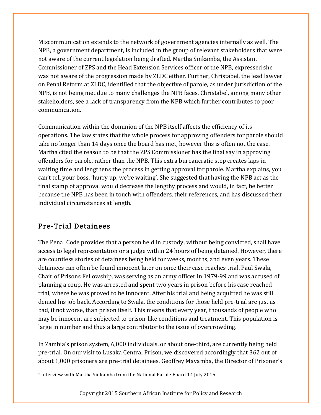Miscommunication extends to the network of government agencies internally as well. The NPB, a government department, is included in the group of relevant stakeholders that were not aware of the current legislation being drafted. Martha Sinkamba, the Assistant Commissioner of ZPS and the Head Extension Services officer of the NPB, expressed she was not aware of the progression made by ZLDC either. Further, Christabel, the lead lawyer on Penal Reform at ZLDC, identified that the objective of parole, as under jurisdiction of the NPB, is not being met due to many challenges the NPB faces. Christabel, among many other stakeholders, see a lack of transparency from the NPB which further contributes to poor communication.

Communication within the dominion of the NPB itself affects the efficiency of its operations. The law states that the whole process for approving offenders for parole should take no longer than 14 days once the board has met, however this is often not the case.<sup>1</sup> Martha cited the reason to be that the ZPS Commissioner has the final say in approving offenders for parole, rather than the NPB. This extra bureaucratic step creates laps in waiting time and lengthens the process in getting approval for parole. Martha explains, you can't tell your boss, 'hurry up, we're waiting'. She suggested that having the NPB act as the final stamp of approval would decrease the lengthy process and would, in fact, be better because the NPB has been in touch with offenders, their references, and has discussed their individual circumstances at length.

#### Pre-Trial Detainees

 

The Penal Code provides that a person held in custody, without being convicted, shall have access to legal representation or a judge within 24 hours of being detained. However, there are countless stories of detainees being held for weeks, months, and even years. These detainees can often be found innocent later on once their case reaches trial. Paul Swala, Chair of Prisons Fellowship, was serving as an army officer in 1979-99 and was accused of planning a coup. He was arrested and spent two years in prison before his case reached trial, where he was proved to be innocent. After his trial and being acquitted he was still denied his job back. According to Swala, the conditions for those held pre-trial are just as bad, if not worse, than prison itself. This means that every year, thousands of people who may be innocent are subjected to prison-like conditions and treatment. This population is large in number and thus a large contributor to the issue of overcrowding.

In Zambia's prison system, 6,000 individuals, or about one-third, are currently being held pre-trial. On our visit to Lusaka Central Prison, we discovered accordingly that 362 out of about 1,000 prisoners are pre-trial detainees. Geoffrey Mayamba, the Director of Prisoner's

<sup>&</sup>lt;sup>1</sup> Interview with Martha Sinkamba from the National Parole Board 14 July 2015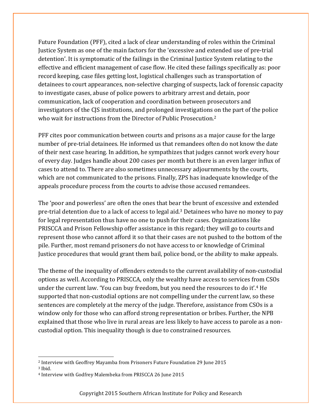Future Foundation (PFF), cited a lack of clear understanding of roles within the Criminal Justice System as one of the main factors for the 'excessive and extended use of pre-trial detention'. It is symptomatic of the failings in the Criminal Justice System relating to the effective and efficient management of case flow. He cited these failings specifically as: poor record keeping, case files getting lost, logistical challenges such as transportation of detainees to court appearances, non-selective charging of suspects, lack of forensic capacity to investigate cases, abuse of police powers to arbitrary arrest and detain, poor communication, lack of cooperation and coordination between prosecutors and investigators of the CJS institutions, and prolonged investigations on the part of the police who wait for instructions from the Director of Public Prosecution.<sup>2</sup>

PFF cites poor communication between courts and prisons as a major cause for the large number of pre-trial detainees. He informed us that remandees often do not know the date of their next case hearing. In addition, he sympathizes that judges cannot work every hour of every day. Judges handle about 200 cases per month but there is an even larger influx of cases to attend to. There are also sometimes unnecessary adjournments by the courts, which are not communicated to the prisons. Finally, ZPS has inadequate knowledge of the appeals procedure process from the courts to advise those accused remandees.

The 'poor and powerless' are often the ones that bear the brunt of excessive and extended pre-trial detention due to a lack of access to legal aid.3 Detainees who have no money to pay for legal representation thus have no one to push for their cases. Organizations like PRISCCA and Prison Fellowship offer assistance in this regard; they will go to courts and represent those who cannot afford it so that their cases are not pushed to the bottom of the pile. Further, most remand prisoners do not have access to or knowledge of Criminal Justice procedures that would grant them bail, police bond, or the ability to make appeals.

The theme of the inequality of offenders extends to the current availability of non-custodial options as well. According to PRISCCA, only the wealthy have access to services from CSOs under the current law. 'You can buy freedom, but you need the resources to do it'.4 He supported that non-custodial options are not compelling under the current law, so these sentences are completely at the mercy of the judge. Therefore, assistance from CSOs is a window only for those who can afford strong representation or bribes. Further, the NPB explained that those who live in rural areas are less likely to have access to parole as a noncustodial option. This inequality though is due to constrained resources.

 

<sup>2</sup> Interview with Geoffrey Mayamba from Prisoners Future Foundation 29 June 2015

<sup>3</sup> Ibid.

<sup>4</sup> Interview with Godfrey Malembeka from PRISCCA 26 June 2015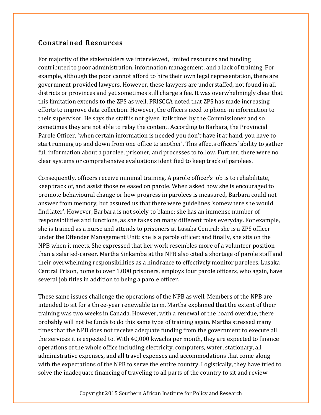#### Constrained Resources

For majority of the stakeholders we interviewed, limited resources and funding contributed to poor administration, information management, and a lack of training. For example, although the poor cannot afford to hire their own legal representation, there are government-provided lawyers. However, these lawyers are understaffed, not found in all districts or provinces and yet sometimes still charge a fee. It was overwhelmingly clear that this limitation extends to the ZPS as well. PRISCCA noted that ZPS has made increasing efforts to improve data collection. However, the officers need to phone-in information to their supervisor. He says the staff is not given 'talk time' by the Commissioner and so sometimes they are not able to relay the content. According to Barbara, the Provincial Parole Officer, 'when certain information is needed you don't have it at hand, you have to start running up and down from one office to another'. This affects officers' ability to gather full information about a parolee, prisoner, and processes to follow. Further, there were no clear systems or comprehensive evaluations identified to keep track of parolees.

Consequently, officers receive minimal training. A parole officer's job is to rehabilitate, keep track of, and assist those released on parole. When asked how she is encouraged to promote behavioural change or how progress in parolees is measured, Barbara could not answer from memory, but assured us that there were guidelines 'somewhere she would find later'. However, Barbara is not solely to blame; she has an immense number of responsibilities and functions, as she takes on many different roles everyday. For example, she is trained as a nurse and attends to prisoners at Lusaka Central; she is a ZPS officer under the Offender Management Unit; she is a parole officer; and finally, she sits on the NPB when it meets. She expressed that her work resembles more of a volunteer position than a salaried-career. Martha Sinkamba at the NPB also cited a shortage of parole staff and their overwhelming responsibilities as a hindrance to effectively monitor parolees. Lusaka Central Prison, home to over 1,000 prisoners, employs four parole officers, who again, have several job titles in addition to being a parole officer.

These same issues challenge the operations of the NPB as well. Members of the NPB are intended to sit for a three-year renewable term. Martha explained that the extent of their training was two weeks in Canada. However, with a renewal of the board overdue, there probably will not be funds to do this same type of training again. Martha stressed many times that the NPB does not receive adequate funding from the government to execute all the services it is expected to. With 40,000 kwacha per month, they are expected to finance operations of the whole office including electricity, computers, water, stationary, all administrative expenses, and all travel expenses and accommodations that come along with the expectations of the NPB to serve the entire country. Logistically, they have tried to solve the inadequate financing of traveling to all parts of the country to sit and review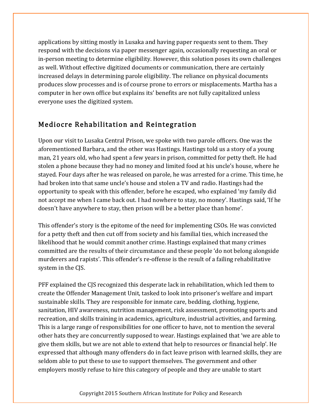applications by sitting mostly in Lusaka and having paper requests sent to them. They respond with the decisions via paper messenger again, occasionally requesting an oral or in-person meeting to determine eligibility. However, this solution poses its own challenges as well. Without effective digitized documents or communication, there are certainly increased delays in determining parole eligibility. The reliance on physical documents produces slow processes and is of course prone to errors or misplacements. Martha has a computer in her own office but explains its' benefits are not fully capitalized unless everyone uses the digitized system.

#### Mediocre Rehabilitation and Reintegration

Upon our visit to Lusaka Central Prison, we spoke with two parole officers. One was the aforementioned Barbara, and the other was Hastings. Hastings told us a story of a young man, 21 years old, who had spent a few years in prison, committed for petty theft. He had stolen a phone because they had no money and limited food at his uncle's house, where he stayed. Four days after he was released on parole, he was arrested for a crime. This time, he had broken into that same uncle's house and stolen a TV and radio. Hastings had the opportunity to speak with this offender, before he escaped, who explained 'my family did not accept me when I came back out. I had nowhere to stay, no money'. Hastings said, 'If he doesn't have anywhere to stay, then prison will be a better place than home'.

This offender's story is the epitome of the need for implementing CSOs. He was convicted for a petty theft and then cut off from society and his familial ties, which increased the likelihood that he would commit another crime. Hastings explained that many crimes committed are the results of their circumstance and these people 'do not belong alongside murderers and rapists'. This offender's re-offense is the result of a failing rehabilitative system in the CJS.

PFF explained the CJS recognized this desperate lack in rehabilitation, which led them to create the Offender Management Unit, tasked to look into prisoner's welfare and impart sustainable skills. They are responsible for inmate care, bedding, clothing, hygiene, sanitation, HIV awareness, nutrition management, risk assessment, promoting sports and recreation, and skills training in academics, agriculture, industrial activities, and farming. This is a large range of responsibilities for one officer to have, not to mention the several other hats they are concurrently supposed to wear. Hastings explained that 'we are able to give them skills, but we are not able to extend that help to resources or financial help'. He expressed that although many offenders do in fact leave prison with learned skills, they are seldom able to put these to use to support themselves. The government and other employers mostly refuse to hire this category of people and they are unable to start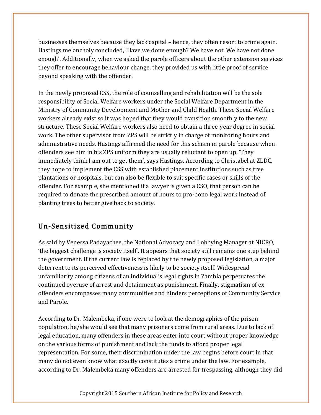businesses themselves because they lack capital – hence, they often resort to crime again. Hastings melancholy concluded, 'Have we done enough? We have not. We have not done enough'. Additionally, when we asked the parole officers about the other extension services they offer to encourage behaviour change, they provided us with little proof of service beyond speaking with the offender.

In the newly proposed CSS, the role of counselling and rehabilitation will be the sole responsibility of Social Welfare workers under the Social Welfare Department in the Ministry of Community Development and Mother and Child Health. These Social Welfare workers already exist so it was hoped that they would transition smoothly to the new structure. These Social Welfare workers also need to obtain a three-year degree in social work. The other supervisor from ZPS will be strictly in charge of monitoring hours and administrative needs. Hastings affirmed the need for this schism in parole because when offenders see him in his ZPS uniform they are usually reluctant to open up. 'They immediately think I am out to get them', says Hastings. According to Christabel at ZLDC, they hope to implement the CSS with established placement institutions such as tree plantations or hospitals, but can also be flexible to suit specific cases or skills of the offender. For example, she mentioned if a lawyer is given a CSO, that person can be required to donate the prescribed amount of hours to pro-bono legal work instead of planting trees to better give back to society.

### Un-Sensitized Community

As said by Venessa Padayachee, the National Advocacy and Lobbying Manager at NICRO, 'the biggest challenge is society itself'. It appears that society still remains one step behind the government. If the current law is replaced by the newly proposed legislation, a major deterrent to its perceived effectiveness is likely to be society itself. Widespread unfamiliarity among citizens of an individual's legal rights in Zambia perpetuates the continued overuse of arrest and detainment as punishment. Finally, stigmatism of exoffenders encompasses many communities and hinders perceptions of Community Service and Parole.

According to Dr. Malembeka, if one were to look at the demographics of the prison population, he/she would see that many prisoners come from rural areas. Due to lack of legal education, many offenders in these areas enter into court without proper knowledge on the various forms of punishment and lack the funds to afford proper legal representation. For some, their discrimination under the law begins before court in that many do not even know what exactly constitutes a crime under the law. For example, according to Dr. Malembeka many offenders are arrested for trespassing, although they did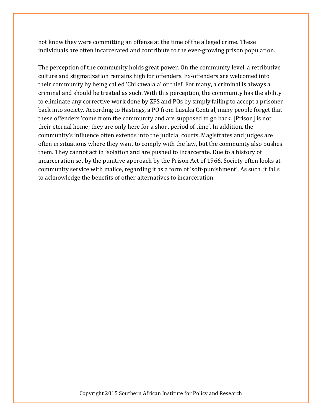not know they were committing an offense at the time of the alleged crime. These individuals are often incarcerated and contribute to the ever-growing prison population.

The perception of the community holds great power. On the community level, a retributive culture and stigmatization remains high for offenders. Ex-offenders are welcomed into their community by being called 'Chikawalala' or thief. For many, a criminal is always a criminal and should be treated as such. With this perception, the community has the ability to eliminate any corrective work done by ZPS and POs by simply failing to accept a prisoner back into society. According to Hastings, a PO from Lusaka Central, many people forget that these offenders 'come from the community and are supposed to go back. [Prison] is not their eternal home; they are only here for a short period of time'. In addition, the community's influence often extends into the judicial courts. Magistrates and judges are often in situations where they want to comply with the law, but the community also pushes them. They cannot act in isolation and are pushed to incarcerate. Due to a history of incarceration set by the punitive approach by the Prison Act of 1966. Society often looks at community service with malice, regarding it as a form of 'soft-punishment'. As such, it fails to acknowledge the benefits of other alternatives to incarceration.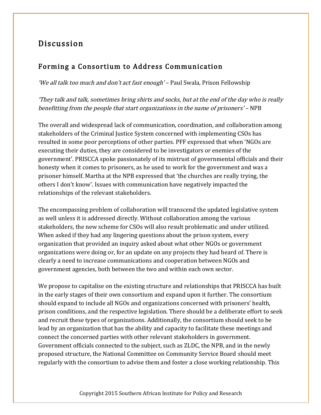### Discussion

#### Forming a Consortium to Address Communication

'We all talk too much and don't act fast enough' – Paul Swala, Prison Fellowship

'They talk and talk, sometimes bring shirts and socks, but at the end of the day who is really benefitting from the people that start organizations in the name of prisoners' – NPB

The overall and widespread lack of communication, coordination, and collaboration among stakeholders of the Criminal Justice System concerned with implementing CSOs has resulted in some poor perceptions of other parties. PFF expressed that when 'NGOs are executing their duties, they are considered to be investigators or enemies of the government'. PRISCCA spoke passionately of its mistrust of governmental officials and their honesty when it comes to prisoners, as he used to work for the government and was a prisoner himself. Martha at the NPB expressed that 'the churches are really trying, the others I don't know'. Issues with communication have negatively impacted the relationships of the relevant stakeholders.

The encompassing problem of collaboration will transcend the updated legislative system as well unless it is addressed directly. Without collaboration among the various stakeholders, the new scheme for CSOs will also result problematic and under utilized. When asked if they had any lingering questions about the prison system, every organization that provided an inquiry asked about what other NGOs or government organizations were doing or, for an update on any projects they had heard of. There is clearly a need to increase communications and cooperation between NGOs and government agencies, both between the two and within each own sector.

We propose to capitalise on the existing structure and relationships that PRISCCA has built in the early stages of their own consortium and expand upon it further. The consortium should expand to include all NGOs and organizations concerned with prisoners' health, prison conditions, and the respective legislation. There should be a deliberate effort to seek and recruit these types of organizations. Additionally, the consortium should seek to be lead by an organization that has the ability and capacity to facilitate these meetings and connect the concerned parties with other relevant stakeholders in government. Government officials connected to the subject, such as ZLDC, the NPB, and in the newly proposed structure, the National Committee on Community Service Board should meet regularly with the consortium to advise them and foster a close working relationship. This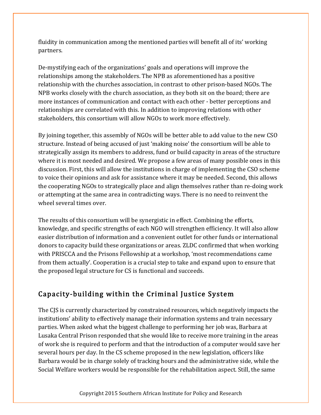fluidity in communication among the mentioned parties will benefit all of its' working partners.

De-mystifying each of the organizations' goals and operations will improve the relationships among the stakeholders. The NPB as aforementioned has a positive relationship with the churches association, in contrast to other prison-based NGOs. The NPB works closely with the church association, as they both sit on the board; there are more instances of communication and contact with each other - better perceptions and relationships are correlated with this. In addition to improving relations with other stakeholders, this consortium will allow NGOs to work more effectively.

By joining together, this assembly of NGOs will be better able to add value to the new CSO structure. Instead of being accused of just 'making noise' the consortium will be able to strategically assign its members to address, fund or build capacity in areas of the structure where it is most needed and desired. We propose a few areas of many possible ones in this discussion. First, this will allow the institutions in charge of implementing the CSO scheme to voice their opinions and ask for assistance where it may be needed. Second, this allows the cooperating NGOs to strategically place and align themselves rather than re-doing work or attempting at the same area in contradicting ways. There is no need to reinvent the wheel several times over.

The results of this consortium will be synergistic in effect. Combining the efforts, knowledge, and specific strengths of each NGO will strengthen efficiency. It will also allow easier distribution of information and a convenient outlet for other funds or international donors to capacity build these organizations or areas. ZLDC confirmed that when working with PRISCCA and the Prisons Fellowship at a workshop, 'most recommendations came from them actually'. Cooperation is a crucial step to take and expand upon to ensure that the proposed legal structure for CS is functional and succeeds.

#### Capacity-building within the Criminal Justice System

The CJS is currently characterized by constrained resources, which negatively impacts the institutions' ability to effectively manage their information systems and train necessary parties. When asked what the biggest challenge to performing her job was, Barbara at Lusaka Central Prison responded that she would like to receive more training in the areas of work she is required to perform and that the introduction of a computer would save her several hours per day. In the CS scheme proposed in the new legislation, officers like Barbara would be in charge solely of tracking hours and the administrative side, while the Social Welfare workers would be responsible for the rehabilitation aspect. Still, the same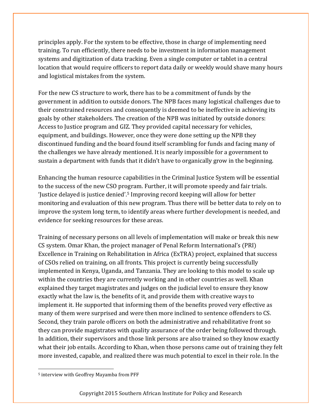principles apply. For the system to be effective, those in charge of implementing need training. To run efficiently, there needs to be investment in information management systems and digitization of data tracking. Even a single computer or tablet in a central location that would require officers to report data daily or weekly would shave many hours and logistical mistakes from the system.

For the new CS structure to work, there has to be a commitment of funds by the government in addition to outside donors. The NPB faces many logistical challenges due to their constrained resources and consequently is deemed to be ineffective in achieving its goals by other stakeholders. The creation of the NPB was initiated by outside donors: Access to Justice program and GIZ. They provided capital necessary for vehicles, equipment, and buildings. However, once they were done setting up the NPB they discontinued funding and the board found itself scrambling for funds and facing many of the challenges we have already mentioned. It is nearly impossible for a government to sustain a department with funds that it didn't have to organically grow in the beginning.

Enhancing the human resource capabilities in the Criminal Justice System will be essential to the success of the new CSO program. Further, it will promote speedy and fair trials. 'Justice delayed is justice denied'.5 Improving record keeping will allow for better monitoring and evaluation of this new program. Thus there will be better data to rely on to improve the system long term, to identify areas where further development is needed, and evidence for seeking resources for these areas.

Training of necessary persons on all levels of implementation will make or break this new CS system. Omar Khan, the project manager of Penal Reform International's (PRI) Excellence in Training on Rehabilitation in Africa (ExTRA) project, explained that success of CSOs relied on training, on all fronts. This project is currently being successfully implemented in Kenya, Uganda, and Tanzania. They are looking to this model to scale up within the countries they are currently working and in other countries as well. Khan explained they target magistrates and judges on the judicial level to ensure they know exactly what the law is, the benefits of it, and provide them with creative ways to implement it. He supported that informing them of the benefits proved very effective as many of them were surprised and were then more inclined to sentence offenders to CS. Second, they train parole officers on both the administrative and rehabilitative front so they can provide magistrates with quality assurance of the order being followed through. In addition, their supervisors and those link persons are also trained so they know exactly what their job entails. According to Khan, when those persons came out of training they felt more invested, capable, and realized there was much potential to excel in their role. In the

 

<sup>5</sup> interview with Geoffrey Mayamba from PFF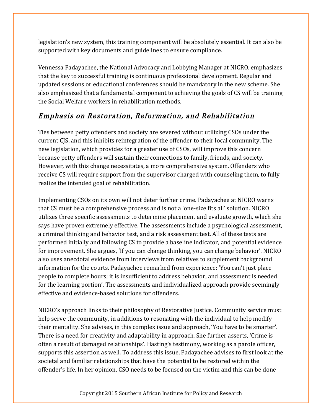legislation's new system, this training component will be absolutely essential. It can also be supported with key documents and guidelines to ensure compliance.

Vennessa Padayachee, the National Advocacy and Lobbying Manager at NICRO, emphasizes that the key to successful training is continuous professional development. Regular and updated sessions or educational conferences should be mandatory in the new scheme. She also emphasized that a fundamental component to achieving the goals of CS will be training the Social Welfare workers in rehabilitation methods.

### Emphasis on Restoration, Reformation, and Rehabilitation

Ties between petty offenders and society are severed without utilizing CSOs under the current CJS, and this inhibits reintegration of the offender to their local community. The new legislation, which provides for a greater use of CSOs, will improve this concern because petty offenders will sustain their connections to family, friends, and society. However, with this change necessitates, a more comprehensive system. Offenders who receive CS will require support from the supervisor charged with counseling them, to fully realize the intended goal of rehabilitation.

Implementing CSOs on its own will not deter further crime. Padayachee at NICRO warns that CS must be a comprehensive process and is not a 'one-size fits all' solution. NICRO utilizes three specific assessments to determine placement and evaluate growth, which she says have proven extremely effective. The assessments include a psychological assessment, a criminal thinking and behavior test, and a risk assessment test. All of these tests are performed initially and following CS to provide a baseline indicator, and potential evidence for improvement. She argues, 'If you can change thinking, you can change behavior'. NICRO also uses anecdotal evidence from interviews from relatives to supplement background information for the courts. Padayachee remarked from experience: 'You can't just place people to complete hours; it is insufficient to address behavior, and assessment is needed for the learning portion'. The assessments and individualized approach provide seemingly effective and evidence-based solutions for offenders.

NICRO's approach links to their philosophy of Restorative Justice. Community service must help serve the community, in additions to resonating with the individual to help modify their mentality. She advises, in this complex issue and approach, 'You have to be smarter'. There is a need for creativity and adaptability in approach. She further asserts, 'Crime is often a result of damaged relationships'. Hasting's testimony, working as a parole officer, supports this assertion as well. To address this issue, Padayachee advises to first look at the societal and familiar relationships that have the potential to be restored within the offender's life. In her opinion, CSO needs to be focused on the victim and this can be done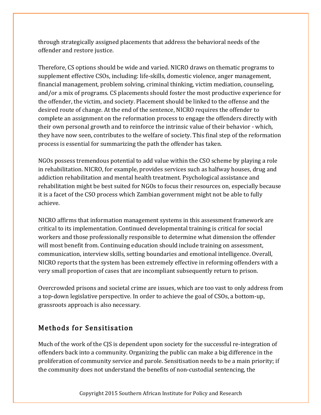through strategically assigned placements that address the behavioral needs of the offender and restore justice.

Therefore, CS options should be wide and varied. NICRO draws on thematic programs to supplement effective CSOs, including: life-skills, domestic violence, anger management, financial management, problem solving, criminal thinking, victim mediation, counseling, and/or a mix of programs. CS placements should foster the most productive experience for the offender, the victim, and society. Placement should be linked to the offense and the desired route of change. At the end of the sentence, NICRO requires the offender to complete an assignment on the reformation process to engage the offenders directly with their own personal growth and to reinforce the intrinsic value of their behavior - which, they have now seen, contributes to the welfare of society. This final step of the reformation process is essential for summarizing the path the offender has taken.

NGOs possess tremendous potential to add value within the CSO scheme by playing a role in rehabilitation. NICRO, for example, provides services such as halfway houses, drug and addiction rehabilitation and mental health treatment. Psychological assistance and rehabilitation might be best suited for NGOs to focus their resources on, especially because it is a facet of the CSO process which Zambian government might not be able to fully achieve.

NICRO affirms that information management systems in this assessment framework are critical to its implementation. Continued developmental training is critical for social workers and those professionally responsible to determine what dimension the offender will most benefit from. Continuing education should include training on assessment, communication, interview skills, setting boundaries and emotional intelligence. Overall, NICRO reports that the system has been extremely effective in reforming offenders with a very small proportion of cases that are incompliant subsequently return to prison.

Overcrowded prisons and societal crime are issues, which are too vast to only address from a top-down legislative perspective. In order to achieve the goal of CSOs, a bottom-up, grassroots approach is also necessary.

#### Methods for Sensitisation

Much of the work of the CJS is dependent upon society for the successful re-integration of offenders back into a community. Organizing the public can make a big difference in the proliferation of community service and parole. Sensitisation needs to be a main priority; if the community does not understand the benefits of non-custodial sentencing, the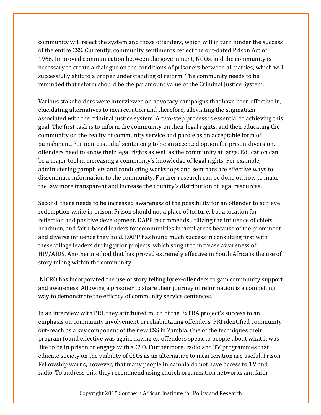community will reject the system and those offenders, which will in turn hinder the success of the entire CSS. Currently, community sentiments reflect the out-dated Prison Act of 1966. Improved communication between the government, NGOs, and the community is necessary to create a dialogue on the conditions of prisoners between all parties, which will successfully shift to a proper understanding of reform. The community needs to be reminded that reform should be the paramount value of the Criminal Justice System.

Various stakeholders were interviewed on advocacy campaigns that have been effective in, elucidating alternatives to incarceration and therefore, alleviating the stigmatism associated with the criminal justice system. A two-step process is essential to achieving this goal. The first task is to inform the community on their legal rights, and then educating the community on the reality of community service and parole as an acceptable form of punishment. For non-custodial sentencing to be an accepted option for prison-diversion, offenders need to know their legal rights as well as the community at large. Education can be a major tool in increasing a community's knowledge of legal rights. For example, administering pamphlets and conducting workshops and seminars are effective ways to disseminate information to the community. Further research can be done on how to make the law more transparent and increase the country's distribution of legal resources.

Second, there needs to be increased awareness of the possibility for an offender to achieve redemption while in prison. Prison should not a place of torture, but a location for reflection and positive development. DAPP recommends utilizing the influence of chiefs, headmen, and faith-based leaders for communities in rural areas because of the prominent and diverse influence they hold. DAPP has found much success in consulting first with these village leaders during prior projects, which sought to increase awareness of HIV/AIDS. Another method that has proved extremely effective in South Africa is the use of story telling within the community.

NICRO has incorporated the use of story telling by ex-offenders to gain community support and awareness. Allowing a prisoner to share their journey of reformation is a compelling way to demonstrate the efficacy of community service sentences.

In an interview with PRI, they attributed much of the ExTRA project's success to an emphasis on community involvement in rehabilitating offenders. PRI identified community out-reach as a key component of the new CSS in Zambia. One of the techniques their program found effective was again, having ex-offenders speak to people about what it was like to be in prison or engage with a CSO. Furthermore, radio and TV programmes that educate society on the viability of CSOs as an alternative to incarceration are useful. Prison Fellowship warns, however, that many people in Zambia do not have access to TV and radio. To address this, they recommend using church organization networks and faith-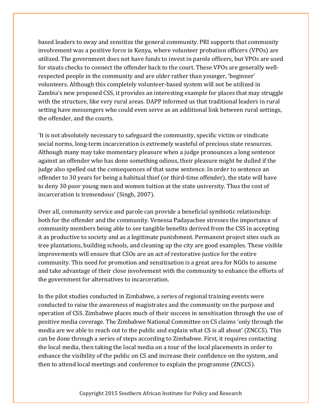based leaders to sway and sensitize the general community. PRI supports that community involvement was a positive force in Kenya, where volunteer probation officers (VPOs) are utilized. The government does not have funds to invest in parole officers, but VPOs are used for stauts checks to connect the offender back to the court. These VPOs are generally wellrespected people in the community and are older rather than younger, 'beginner' volunteers. Although this completely volunteer-based system will not be utilized in Zambia's new proposed CSS, it provides an interesting example for places that may struggle with the structure, like very rural areas. DAPP informed us that traditional leaders in rural setting have messengers who could even serve as an additional link between rural settings, the offender, and the courts.

'It is not absolutely necessary to safeguard the community, specific victim or vindicate social norms, long-term incarceration is extremely wasteful of precious state resources. Although many may take momentary pleasure when a judge pronounces a long sentence against an offender who has done something odious, their pleasure might be dulled if the judge also spelled out the consequences of that same sentence. In order to sentence an offender to 30 years for being a habitual thief (or third-time offender), the state will have to deny 30 poor young men and women tuition at the state university. Thus the cost of incarceration is tremendous' (Singh, 2007).

Over all, community service and parole can provide a beneficial symbiotic relationship: both for the offender and the community. Venessa Padayachee stresses the importance of community members being able to see tangible benefits derived from the CSS in accepting it as productive to society and as a legitimate punishment. Permanent project sites such as tree plantations, building schools, and cleaning up the city are good examples. These visible improvements will ensure that CSOs are an act of restorative justice for the entire community. This need for promotion and sensitisation is a great area for NGOs to assume and take advantage of their close involvement with the community to enhance the efforts of the government for alternatives to incarceration.

In the pilot studies conducted in Zimbabwe, a series of regional training events were conducted to raise the awareness of magistrates and the community on the purpose and operation of CSS. Zimbabwe places much of their success in sensitisation through the use of positive media coverage. The Zimbabwe National Committee on CS claims 'only through the media are we able to reach out to the public and explain what CS is all about' (ZNCCS). This can be done through a series of steps according to Zimbabwe. First, it requires contacting the local media, then taking the local media on a tour of the local placements in order to enhance the visibility of the public on CS and increase their confidence on the system, and then to attend local meetings and conference to explain the programme (ZNCCS).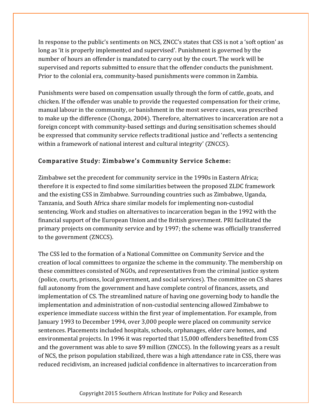In response to the public's sentiments on NCS, ZNCC's states that CSS is not a 'soft option' as long as 'it is properly implemented and supervised'. Punishment is governed by the number of hours an offender is mandated to carry out by the court. The work will be supervised and reports submitted to ensure that the offender conducts the punishment. Prior to the colonial era, community-based punishments were common in Zambia.

Punishments were based on compensation usually through the form of cattle, goats, and chicken. If the offender was unable to provide the requested compensation for their crime, manual labour in the community, or banishment in the most severe cases, was prescribed to make up the difference (Chonga, 2004). Therefore, alternatives to incarceration are not a foreign concept with community-based settings and during sensitisation schemes should be expressed that community service reflects traditional justice and 'reflects a sentencing within a framework of national interest and cultural integrity' (ZNCCS).

#### Comparative Study: Zimbabwe's Community Service Scheme:

Zimbabwe set the precedent for community service in the 1990s in Eastern Africa; therefore it is expected to find some similarities between the proposed ZLDC framework and the existing CSS in Zimbabwe. Surrounding countries such as Zimbabwe, Uganda, Tanzania, and South Africa share similar models for implementing non-custodial sentencing. Work and studies on alternatives to incarceration began in the 1992 with the financial support of the European Union and the British government. PRI facilitated the primary projects on community service and by 1997; the scheme was officially transferred to the government (ZNCCS).

The CSS led to the formation of a National Committee on Community Service and the creation of local committees to organize the scheme in the community. The membership on these committees consisted of NGOs, and representatives from the criminal justice system (police, courts, prisons, local government, and social services). The committee on CS shares full autonomy from the government and have complete control of finances, assets, and implementation of CS. The streamlined nature of having one governing body to handle the implementation and administration of non-custodial sentencing allowed Zimbabwe to experience immediate success within the first year of implementation. For example, from January 1993 to December 1994, over 3,000 people were placed on community service sentences. Placements included hospitals, schools, orphanages, elder care homes, and environmental projects. In 1996 it was reported that 15,000 offenders benefited from CSS and the government was able to save \$9 million (ZNCCS). In the following years as a result of NCS, the prison population stabilized, there was a high attendance rate in CSS, there was reduced recidivism, an increased judicial confidence in alternatives to incarceration from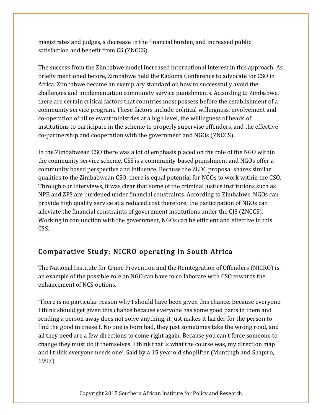magistrates and judges, a decrease in the financial burden, and increased public satisfaction and benefit from CS (ZNCCS).

The success from the Zimbabwe model increased international interest in this approach. As briefly mentioned before, Zimbabwe held the Kadoma Conference to advocate for CSO in Africa. Zimbabwe became an exemplary standard on how to successfully avoid the challenges and implementation community service punishments. According to Zimbabwe, there are certain critical factors that countries most possess before the establishment of a community service program. These factors include political willingness, involvement and co-operation of all relevant ministries at a high level, the willingness of heads of institutions to participate in the scheme to properly supervise offenders, and the effective co-partnership and cooperation with the government and NGOs (ZNCCS).

In the Zimbabwean CSO there was a lot of emphasis placed on the role of the NGO within the community service scheme. CSS is a community-based punishment and NGOs offer a community based perspective and influence. Because the ZLDC proposal shares similar qualities to the Zimbabwean CSO, there is equal potential for NGOs to work within the CSO. Through our interviews, it was clear that some of the criminal justice institutions such as NPB and ZPS are burdened under financial constraints. According to Zimbabwe, NGOs can provide high quality service at a reduced cost therefore; the participation of NGOs can alleviate the financial constraints of government institutions under the CJS (ZNCCS). Working in conjunction with the government, NGOs can be efficient and effective in this CSS.

### Comparative Study: NICRO operating in South Africa

The National Institute for Crime Prevention and the Reintegration of Offenders (NICRO) is an example of the possible role an NGO can have to collaborate with CSO towards the enhancement of NCS options.

'There is no particular reason why I should have been given this chance. Because everyone I think should get given this chance because everyone has some good parts in them and sending a person away does not solve anything, it just makes it harder for the person to find the good in oneself. No one is born bad, they just sometimes take the wrong road, and all they need are a few directions to come right again. Because you can't force someone to change they must do it themselves. I think that is what the course was, my direction map and I think everyone needs one'. Said by a 15 year old shoplifter (Muntingh and Shapiro, 1997)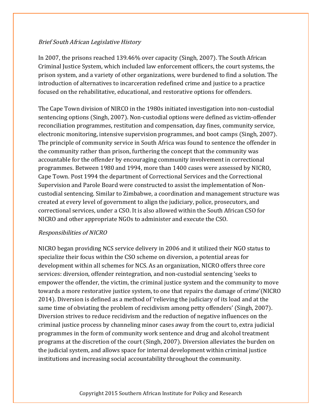#### Brief South African Legislative History

In 2007, the prisons reached 139.46% over capacity (Singh, 2007). The South African Criminal Justice System, which included law enforcement officers, the court systems, the prison system, and a variety of other organizations, were burdened to find a solution. The introduction of alternatives to incarceration redefined crime and justice to a practice focused on the rehabilitative, educational, and restorative options for offenders.

The Cape Town division of NIRCO in the 1980s initiated investigation into non-custodial sentencing options (Singh, 2007). Non-custodial options were defined as victim-offender reconciliation programmes, restitution and compensation, day fines, community service, electronic monitoring, intensive supervision programmes, and boot camps (Singh, 2007). The principle of community service in South Africa was found to sentence the offender in the community rather than prison, furthering the concept that the community was accountable for the offender by encouraging community involvement in correctional programmes. Between 1980 and 1994, more than 1400 cases were assessed by NICRO, Cape Town. Post 1994 the department of Correctional Services and the Correctional Supervision and Parole Board were constructed to assist the implementation of Noncustodial sentencing. Similar to Zimbabwe, a coordination and management structure was created at every level of government to align the judiciary, police, prosecutors, and correctional services, under a CSO. It is also allowed within the South African CSO for NICRO and other appropriate NGOs to administer and execute the CSO.

#### Responsibilities of NICRO

NICRO began providing NCS service delivery in 2006 and it utilized their NGO status to specialize their focus within the CSO scheme on diversion, a potential areas for development within all schemes for NCS. As an organization, NICRO offers three core services: diversion, offender reintegration, and non-custodial sentencing 'seeks to empower the offender, the victim, the criminal justice system and the community to move towards a more restorative justice system, to one that repairs the damage of crime'(NICRO 2014). Diversion is defined as a method of 'relieving the judiciary of its load and at the same time of obviating the problem of recidivism among petty offenders' (Singh, 2007). Diversion strives to reduce recidivism and the reduction of negative influences on the criminal justice process by channeling minor cases away from the court to, extra judicial programmes in the form of community work sentence and drug and alcohol treatment programs at the discretion of the court (Singh, 2007). Diversion alleviates the burden on the judicial system, and allows space for internal development within criminal justice institutions and increasing social accountability throughout the community.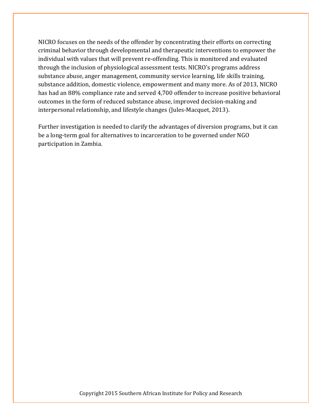NICRO focuses on the needs of the offender by concentrating their efforts on correcting criminal behavior through developmental and therapeutic interventions to empower the individual with values that will prevent re-offending. This is monitored and evaluated through the inclusion of physiological assessment tests. NICRO's programs address substance abuse, anger management, community service learning, life skills training, substance addition, domestic violence, empowerment and many more. As of 2013, NICRO has had an 88% compliance rate and served 4,700 offender to increase positive behavioral outcomes in the form of reduced substance abuse, improved decision-making and interpersonal relationship, and lifestyle changes (Jules-Macquet, 2013).

Further investigation is needed to clarify the advantages of diversion programs, but it can be a long-term goal for alternatives to incarceration to be governed under NGO participation in Zambia.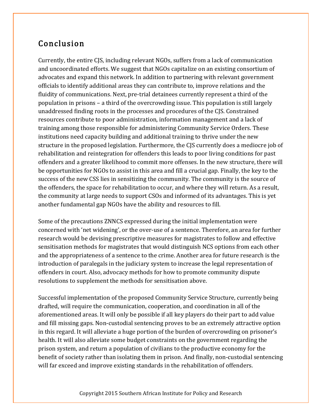# Conclusion

Currently, the entire CJS, including relevant NGOs, suffers from a lack of communication and uncoordinated efforts. We suggest that NGOs capitalize on an existing consortium of advocates and expand this network. In addition to partnering with relevant government officials to identify additional areas they can contribute to, improve relations and the fluidity of communications. Next, pre-trial detainees currently represent a third of the population in prisons – a third of the overcrowding issue. This population is still largely unaddressed finding roots in the processes and procedures of the CJS. Constrained resources contribute to poor administration, information management and a lack of training among those responsible for administering Community Service Orders. These institutions need capacity building and additional training to thrive under the new structure in the proposed legislation. Furthermore, the CJS currently does a mediocre job of rehabilitation and reintegration for offenders this leads to poor living conditions for past offenders and a greater likelihood to commit more offenses. In the new structure, there will be opportunities for NGOs to assist in this area and fill a crucial gap. Finally, the key to the success of the new CSS lies in sensitizing the community. The community is the source of the offenders, the space for rehabilitation to occur, and where they will return. As a result, the community at large needs to support CSOs and informed of its advantages. This is yet another fundamental gap NGOs have the ability and resources to fill.

Some of the precautions ZNNCS expressed during the initial implementation were concerned with 'net widening', or the over-use of a sentence. Therefore, an area for further research would be devising prescriptive measures for magistrates to follow and effective sensitisation methods for magistrates that would distinguish NCS options from each other and the appropriateness of a sentence to the crime. Another area for future research is the introduction of paralegals in the judiciary system to increase the legal representation of offenders in court. Also, advocacy methods for how to promote community dispute resolutions to supplement the methods for sensitisation above.

Successful implementation of the proposed Community Service Structure, currently being drafted, will require the communication, cooperation, and coordination in all of the aforementioned areas. It will only be possible if all key players do their part to add value and fill missing gaps. Non-custodial sentencing proves to be an extremely attractive option in this regard. It will alleviate a huge portion of the burden of overcrowding on prisoner's health. It will also alleviate some budget constraints on the government regarding the prison system, and return a population of civilians to the productive economy for the benefit of society rather than isolating them in prison. And finally, non-custodial sentencing will far exceed and improve existing standards in the rehabilitation of offenders.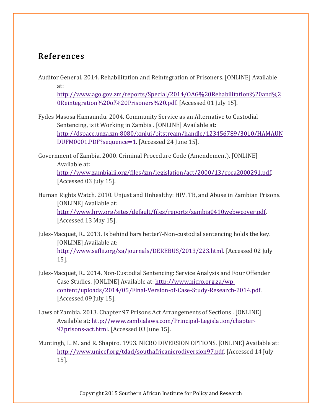### References

Auditor General. 2014. Rehabilitation and Reintegration of Prisoners. [ONLINE] Available at:

http://www.ago.gov.zm/reports/Special/2014/OAG%20Rehabilitation%20and%2 0Reintegration%20of%20Prisoners%20.pdf. [Accessed 01 July 15].

Fydes Masosa Hamaundu. 2004. Community Service as an Alternative to Custodial Sentencing, is it Working in Zambia . [ONLINE] Available at: http://dspace.unza.zm:8080/xmlui/bitstream/handle/123456789/3010/HAMAUN DUFM0001.PDF?sequence=1. [Accessed 24 June 15].

Government of Zambia. 2000. Criminal Procedure Code (Amendement). [ONLINE] Available at: http://www.zambialii.org/files/zm/legislation/act/2000/13/cpca2000291.pdf. [Accessed 03 July 15].

- Human Rights Watch. 2010. Unjust and Unhealthy: HIV. TB, and Abuse in Zambian Prisons. [ONLINE] Available at: http://www.hrw.org/sites/default/files/reports/zambia0410webwcover.pdf. [Accessed 13 May 15].
- Jules-Macquet, R.. 2013. Is behind bars better?-Non-custodial sentencing holds the key. [ONLINE] Available at: http://www.saflii.org/za/journals/DEREBUS/2013/223.html. [Accessed 02 July 15].
- Jules-Macquet, R.. 2014. Non-Custodial Sentencing: Service Analysis and Four Offender Case Studies. [ONLINE] Available at: http://www.nicro.org.za/wpcontent/uploads/2014/05/Final-Version-of-Case-Study-Research-2014.pdf. [Accessed 09 July 15].
- Laws of Zambia. 2013. Chapter 97 Prisons Act Arrangements of Sections . [ONLINE] Available at: http://www.zambialaws.com/Principal-Legislation/chapter-97prisons-act.html. [Accessed 03 June 15].
- Muntingh, L. M. and R. Shapiro. 1993. NICRO DIVERSION OPTIONS. [ONLINE] Available at: http://www.unicef.org/tdad/southafricanicrodiversion97.pdf. [Accessed 14 July 15].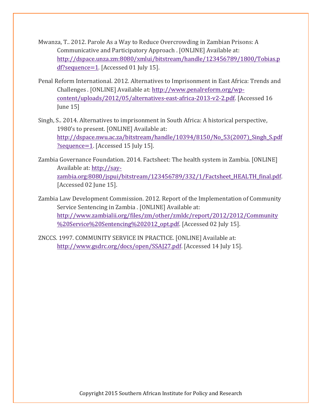- Mwanza, T.. 2012. Parole As a Way to Reduce Overcrowding in Zambian Prisons: A Communicative and Participatory Approach . [ONLINE] Available at: http://dspace.unza.zm:8080/xmlui/bitstream/handle/123456789/1800/Tobias.p df?sequence=1. [Accessed 01 July 15].
- Penal Reform International. 2012. Alternatives to Imprisonment in East Africa: Trends and Challenges . [ONLINE] Available at: http://www.penalreform.org/wpcontent/uploads/2012/05/alternatives-east-africa-2013-v2-2.pdf. [Accessed 16 June 15]
- Singh, S.. 2014. Alternatives to imprisonment in South Africa: A historical perspective, 1980's to present. [ONLINE] Available at: http://dspace.nwu.ac.za/bitstream/handle/10394/8150/No\_53(2007)\_Singh\_S.pdf ?sequence=1. [Accessed 15 July 15].
- Zambia Governance Foundation. 2014. Factsheet: The health system in Zambia. [ONLINE] Available at: http://sayzambia.org:8080/jspui/bitstream/123456789/332/1/Factsheet\_HEALTH\_final.pdf. [Accessed 02 June 15].
- Zambia Law Development Commission. 2012. Report of the Implementation of Community Service Sentencing in Zambia . [ONLINE] Available at: http://www.zambialii.org/files/zm/other/zmldc/report/2012/2012/Community %20Service%20Sentencing%202012\_opt.pdf. [Accessed 02 July 15].
- ZNCCS. 1997. COMMUNITY SERVICE IN PRACTICE. [ONLINE] Available at: http://www.gsdrc.org/docs/open/SSAJ27.pdf. [Accessed 14 July 15].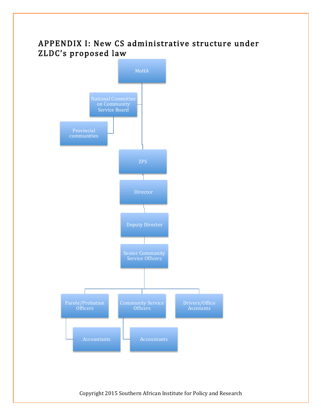# APPENDIX I: New CS administrative structure under ZLDC's proposed law